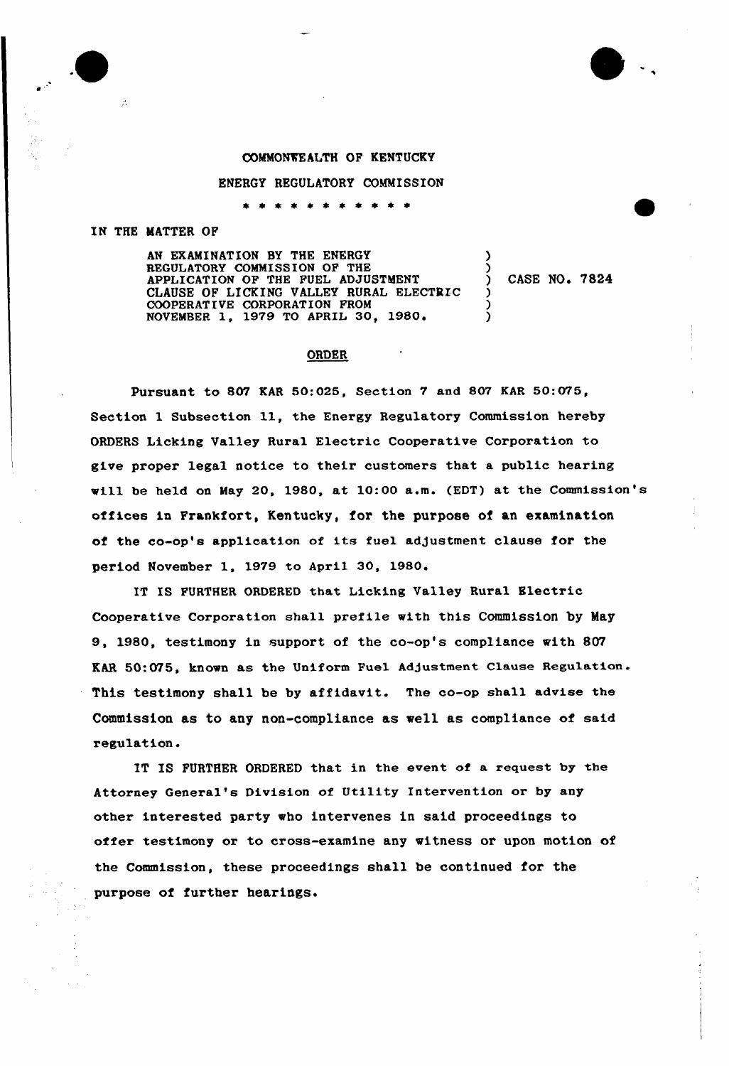## COMMONWEALTH OF KENTUCKY

ENERGY REGULATORY COMMISSION

 $\star$   $\star$ ---

## IN THE MATTER OF

 $\mathcal{L}$ 

AN EXAMINATION BY THE ENERGY REGULATORY COMMISSION OF THE APPLICATION OF THE FUEL ADJUSTMENT CLAUSE OF LICKING VALLEY RURAL ELECTRIC COOPERATIVE CORPORATION FROM NOVEMBER 1, 1979 TO APRIL 30, 1980'

CASE NO. 7824

)

) ) )

## **ORDER**

pursuant to 807 EAR 50:025, Section 7 and 807 EAR 50:075, Section 1 Subsection 11, the Energy Regulatory Commission hereby ORDERS Licking Valley Rural Electric Cooperative Corporation to give proper legal notice to their customers that a public hearing will be held on May 20, 1980, at 10:00 a.m. (EDT) at the Commission's offices in Frankfort, Kentucky, for the purpose of an examination of the co-op's application of its fuel adjustment clause for the period November 1, 1979 to April 30, 1980

IS FURTHER ORDERED that Licking Valley Rural Electric Cooperative Corporation shall prefile with this Commission by May 9, 1980, testimony in support of the co-op's compliance with 807 KAR 50:075, known as the Uniform Fuel Adjustment Clause Regulation. This testimony shall be by affidavit. The co-op shall advise the Commission as to any non-compliance as we11 as compliance of said regulation.

IT IS FURTHER ORDERED that in the event of a request by the Attorney General's Division of Utility Intervention or by any other interested party who intervenes in said proceedings to offer testimony or to cross-examine any witness or upon motion of the Commission, these proceedings shall be continued for the purpose of further hearings.